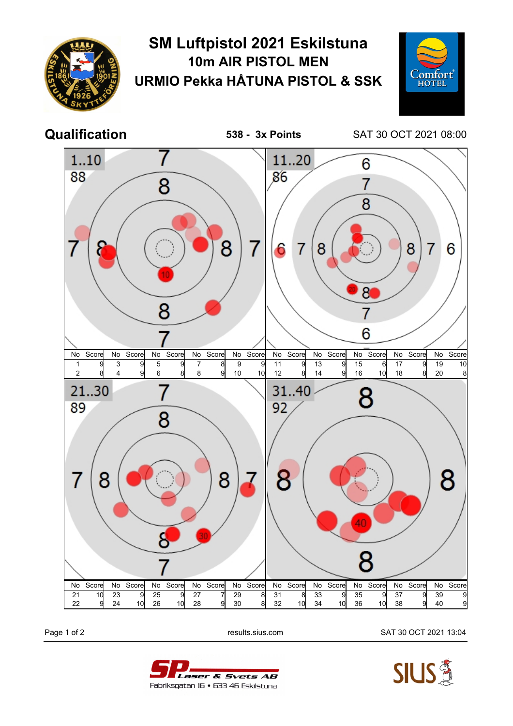

## **SM Luftpistol 2021 Eskilstuna 10m AIR PISTOL MEN URMIO Pekka HÅTUNA PISTOL & SSK**



**Qualification 538 - 3x Points** SAT 30 OCT 2021 08:00



Page 1 of 2 results.sius.com SAT 30 OCT 2021 13:04